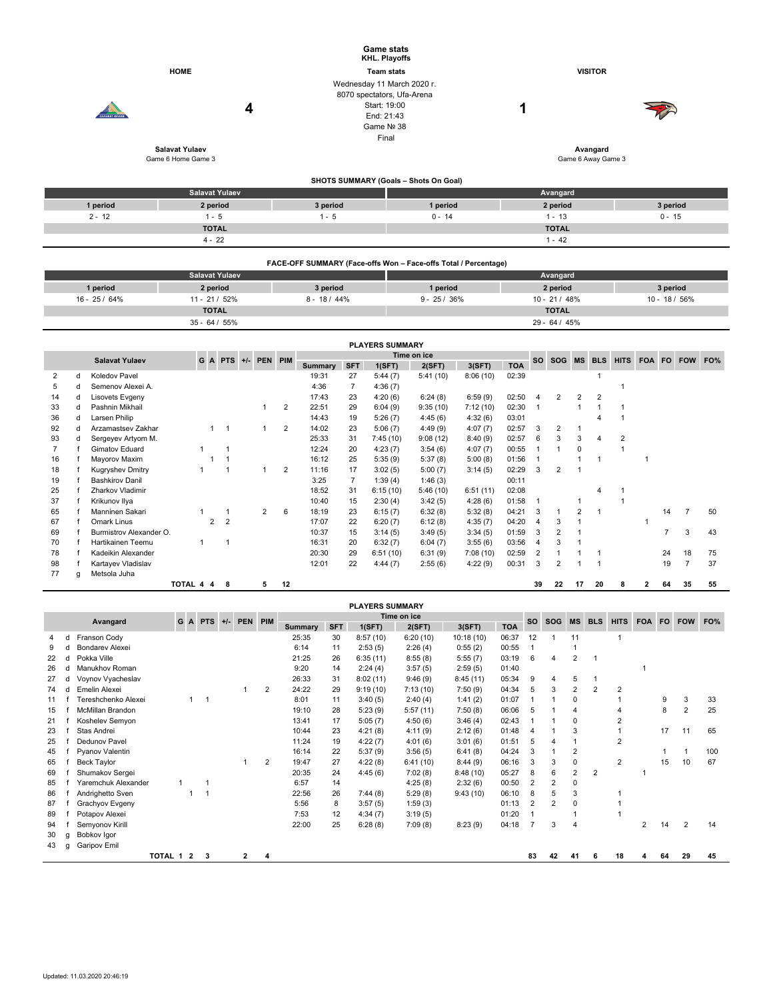|                                |        | CARABAT IORAEL                     | <b>HOME</b><br>Salavat Yulaev |              |                       | 4 |                     |                |                |                 | <b>Game stats</b><br><b>KHL. Playoffs</b><br><b>Team stats</b><br>Start: 19:00<br>End: 21:43<br>Game Nº 38<br>Final | <b>VISITOR</b><br>Wednesday 11 March 2020 r.<br>8070 spectators, Ufa-Arena<br>1<br>Avangard |                     |            |                                  |                      |                   |                    |                                   |  |          |  |  |
|--------------------------------|--------|------------------------------------|-------------------------------|--------------|-----------------------|---|---------------------|----------------|----------------|-----------------|---------------------------------------------------------------------------------------------------------------------|---------------------------------------------------------------------------------------------|---------------------|------------|----------------------------------|----------------------|-------------------|--------------------|-----------------------------------|--|----------|--|--|
|                                |        |                                    | Game 6 Home Game 3            |              |                       |   |                     |                |                |                 |                                                                                                                     |                                                                                             |                     |            |                                  |                      |                   | Game 6 Away Game 3 |                                   |  |          |  |  |
|                                |        |                                    |                               |              |                       |   |                     |                |                |                 |                                                                                                                     | SHOTS SUMMARY (Goals - Shots On Goal)                                                       |                     |            |                                  |                      |                   |                    |                                   |  |          |  |  |
|                                |        |                                    |                               |              | <b>Salavat Yulaev</b> |   |                     |                |                |                 |                                                                                                                     |                                                                                             |                     |            |                                  | Avangard             |                   |                    |                                   |  |          |  |  |
|                                |        | 1 period                           |                               | 2 period     |                       |   |                     |                | 3 period       |                 |                                                                                                                     | 1 period                                                                                    |                     |            |                                  | 2 period             |                   |                    |                                   |  | 3 period |  |  |
| $2 - 12$                       |        |                                    |                               | $1 - 5$      |                       |   |                     |                | $1 - 5$        |                 |                                                                                                                     | $0 - 14$                                                                                    |                     |            |                                  | $1 - 13$<br>$0 - 15$ |                   |                    |                                   |  |          |  |  |
|                                |        |                                    |                               | <b>TOTAL</b> |                       |   |                     |                |                |                 |                                                                                                                     |                                                                                             |                     |            |                                  | <b>TOTAL</b>         |                   |                    |                                   |  |          |  |  |
|                                |        |                                    |                               | $4 - 22$     |                       |   |                     |                |                |                 |                                                                                                                     |                                                                                             |                     |            |                                  | $1 - 42$             |                   |                    |                                   |  |          |  |  |
|                                |        |                                    |                               |              |                       |   |                     |                |                |                 |                                                                                                                     | FACE-OFF SUMMARY (Face-offs Won - Face-offs Total / Percentage)                             |                     |            |                                  |                      |                   |                    |                                   |  |          |  |  |
|                                |        |                                    |                               |              | <b>Salavat Yulaev</b> |   |                     |                |                |                 |                                                                                                                     |                                                                                             |                     |            |                                  | Avangard             |                   |                    |                                   |  |          |  |  |
|                                |        | 1 period                           |                               | 2 period     |                       |   |                     |                | 3 period       |                 |                                                                                                                     | 1 period                                                                                    |                     |            |                                  | 2 period             |                   |                    |                                   |  | 3 period |  |  |
| 16 - 25 / 64%<br>11 - 21 / 52% |        |                                    |                               |              |                       |   | $8 - 18 / 44%$      |                |                | $9 - 25 / 36\%$ |                                                                                                                     | $10 - 21 / 48%$                                                                             |                     |            |                                  |                      |                   |                    | 10 - 18 / 56%                     |  |          |  |  |
|                                |        |                                    |                               | <b>TOTAL</b> |                       |   |                     |                |                |                 |                                                                                                                     |                                                                                             |                     |            |                                  | <b>TOTAL</b>         |                   |                    |                                   |  |          |  |  |
|                                |        |                                    |                               |              | $35 - 64 / 55%$       |   |                     |                |                |                 |                                                                                                                     |                                                                                             |                     |            |                                  | 29 - 64 / 45%        |                   |                    |                                   |  |          |  |  |
|                                |        |                                    |                               |              |                       |   |                     |                |                |                 | <b>PLAYERS SUMMARY</b>                                                                                              |                                                                                             |                     |            |                                  |                      |                   |                    |                                   |  |          |  |  |
|                                |        |                                    |                               |              |                       |   |                     |                |                |                 |                                                                                                                     | Time on ice                                                                                 |                     |            |                                  |                      |                   |                    |                                   |  |          |  |  |
|                                |        | <b>Salavat Yulaev</b>              |                               |              |                       |   | G A PTS +/- PEN PIM |                | <b>Summary</b> | <b>SFT</b>      | 1(SFT)                                                                                                              | 2(SFT)                                                                                      | 3(SFT)              | <b>TOA</b> |                                  |                      |                   |                    | SO SOG MS BLS HITS FOA FO FOW FO% |  |          |  |  |
| 2                              | d      | Koledov Pavel                      |                               |              |                       |   |                     |                | 19:31          | 27              | 5:44(7)                                                                                                             | 5:41(10)                                                                                    | 8:06(10)            | 02:39      |                                  |                      |                   | $\mathbf{1}$       |                                   |  |          |  |  |
| 5                              | d      | Semenov Alexei A.                  |                               |              |                       |   |                     |                | 4:36<br>17:43  | $\overline{7}$  | 4:36(7)                                                                                                             |                                                                                             |                     | 02:50      |                                  |                      |                   |                    | 1                                 |  |          |  |  |
| 14<br>33                       | d<br>d | Lisovets Evgeny<br>Pashnin Mikhail |                               |              |                       |   | $\mathbf{1}$        | $\overline{2}$ | 22:51          | 23<br>29        | 4:20(6)<br>6:04(9)                                                                                                  | 6:24(8)<br>9:35(10)                                                                         | 6:59(9)<br>7:12(10) | 02:30      | $\overline{4}$<br>$\overline{1}$ | $\overline{2}$       | 2<br>$\mathbf{1}$ | 2<br>$\mathbf{1}$  | $\mathbf{1}$                      |  |          |  |  |
| 36                             | d      | Larsen Philip                      |                               |              |                       |   |                     |                | 14:43          | 19              | 5:26(7)                                                                                                             | 4:45(6)                                                                                     | 4:32(6)             | 03:01      |                                  |                      |                   | $\overline{4}$     | $\mathbf{1}$                      |  |          |  |  |
| 92                             | d      | Arzamastsev Zakhar                 |                               | $1 \quad 1$  |                       |   | $\mathbf{1}$        | 2              | 14:02          | 23              | 5:06(7)                                                                                                             | 4:49(9)                                                                                     | 4:07(7)             | 02:57      | 3                                | $\overline{2}$       | $\mathbf{1}$      |                    |                                   |  |          |  |  |

93 d Sergeyev Artyom M. 25:33 31 7:45 (10) 9:08 (12) 8:40 (9) 02:57 6 3 3 4 2 7 f Gimatov Eduard 1 1 12:24 20 4:23 (7) 3:54 (6) 4:07 (7) 00:55 1 1 0 1 16 f Mayorov Maxim 1 1 16:12 25 5:35 (9) 5:37 (8) 5:00 (8) 01:56 1 1 1 1

25 f Zharkov Vladimir 18:52 31 6:15 (10) 5:46 (10) 6:51 (11) 02:08 4 1 37 f Krikunov Ilya 10:40 15 2:30 (4) 3:42 (5) 4:28 (6) 01:58 1 1 1

67 f Omark Linus 2 2 17:07 22 6:20 (7) 6:12 (8) 4:35 (7) 04:20 4 3 1 1

18 f Kugryshev Dmitry 1 1 1 1 2 11:16 17 3:02 (5) 5:00 (7) 3:14 (5) 02:29 3 2 1<br>19 f Bashkirov Danil 1 3:25 7 1:39 (4) 1:46 (3) 00:11

70 f Hartikainen Teemu 1 1 16:31 20 6:32 (7) 6:04 (7) 3:55 (6) 03:56 4 3 1

19 f Bashkirov Danil (1990)<br>25 f Zharkov Vladimir (1990)<br>26 f Zharkov Vladimir (1990) (1990) (1991) (1992) (1991) (1992) (1992) (1992) (1992) (1992) (1992) (1992) (19

|    |   |                                                                 |           |  |     |  |              |                |         |            | <b>PLAYERS SUMMARY</b> |           |            |            |                |                |                |                |                         |     |    |    |     |
|----|---|-----------------------------------------------------------------|-----------|--|-----|--|--------------|----------------|---------|------------|------------------------|-----------|------------|------------|----------------|----------------|----------------|----------------|-------------------------|-----|----|----|-----|
|    |   | Time on ice<br>PEN PIM<br>GA<br><b>PTS</b><br>Avangard<br>$+/-$ |           |  |     |  |              |                |         |            |                        | <b>SO</b> | <b>SOG</b> | <b>MS</b>  | <b>BLS</b>     | <b>HITS</b>    | <b>FOA</b>     | FO.            | <b>FOW</b>              | FO% |    |    |     |
|    |   |                                                                 |           |  |     |  |              |                | Summary | <b>SFT</b> | 1(SFT)                 | 2(SFT)    | 3(SFT)     | <b>TOA</b> |                |                |                |                |                         |     |    |    |     |
| 4  | d | Franson Cody                                                    |           |  |     |  |              |                | 25:35   | 30         | 8:57(10)               | 6:20(10)  | 10:18(10)  | 06:37      | 12             |                | 11             |                |                         |     |    |    |     |
| 9  |   | Bondarev Alexei                                                 |           |  |     |  |              |                | 6:14    | 11         | 2:53(5)                | 2:26(4)   | 0:55(2)    | 00:55      |                |                |                |                |                         |     |    |    |     |
| 22 | d | Pokka Ville                                                     |           |  |     |  |              |                | 21:25   | 26         | 6:35(11)               | 8:55(8)   | 5:55(7)    | 03:19      | 6              | $\overline{a}$ | 2              |                |                         |     |    |    |     |
| 26 |   | <b>Manukhov Roman</b>                                           |           |  |     |  |              |                | 9:20    | 14         | 2:24(4)                | 3:57(5)   | 2:59(5)    | 01:40      |                |                |                |                |                         |     |    |    |     |
| 27 | d | Voynov Vyacheslav                                               |           |  |     |  |              |                | 26:33   | 31         | 8:02(11)               | 9:46(9)   | 8:45(11)   | 05:34      | 9              | 4              | 5              |                |                         |     |    |    |     |
| 74 |   | Emelin Alexei                                                   |           |  |     |  |              | $\overline{2}$ | 24:22   | 29         | 9:19(10)               | 7:13(10)  | 7:50(9)    | 04:34      | 5              | 3              | 2              | 2              | $\overline{2}$          |     |    |    |     |
| 11 |   | Tereshchenko Alexei                                             |           |  |     |  |              |                | 8:01    | 11         | 3:40(5)                | 2:40(4)   | 1:41(2)    | 01:07      |                |                | 0              |                |                         |     | 9  | 3  | 33  |
| 15 |   | <b>McMillan Brandon</b>                                         |           |  |     |  |              |                | 19:10   | 28         | 5:23(9)                | 5:57(11)  | 7:50(8)    | 06:06      | 5              |                | 4              |                |                         |     | 8  | 2  | 25  |
| 21 |   | Koshelev Semyon                                                 |           |  |     |  |              |                | 13:41   | 17         | 5:05(7)                | 4:50(6)   | 3:46(4)    | 02:43      |                |                | $\Omega$       |                | $\overline{2}$          |     |    |    |     |
| 23 |   | Stas Andrei                                                     |           |  |     |  |              |                | 10:44   | 23         | 4:21(8)                | 4:11(9)   | 2:12(6)    | 01:48      | $\overline{4}$ |                | 3              |                |                         |     | 17 | 11 | 65  |
| 25 |   | Dedunov Pavel                                                   |           |  |     |  |              |                | 11:24   | 19         | 4:22(7)                | 4:01(6)   | 3:01(6)    | 01:51      | 5              |                |                |                | $\overline{2}$          |     |    |    |     |
| 45 |   | Pyanov Valentin                                                 |           |  |     |  |              |                | 16:14   | 22         | 5:37(9)                | 3:56(5)   | 6:41(8)    | 04:24      | 3              |                | $\overline{2}$ |                |                         |     |    |    | 100 |
| 65 |   | <b>Beck Taylor</b>                                              |           |  |     |  |              | $\overline{2}$ | 19:47   | 27         | 4:22(8)                | 6:41(10)  | 8:44(9)    | 06:16      | 3              | 3              | 0              |                | $\overline{\mathbf{c}}$ |     | 15 | 10 | 67  |
| 69 |   | Shumakov Sergei                                                 |           |  |     |  |              |                | 20:35   | 24         | 4:45(6)                | 7:02(8)   | 8:48(10)   | 05:27      | 8              | 6              | $\overline{2}$ | $\overline{2}$ |                         |     |    |    |     |
| 85 |   | Yaremchuk Alexander                                             |           |  |     |  |              |                | 6:57    | 14         |                        | 4:25(8)   | 2:32(6)    | 00:50      | $\overline{2}$ | $\overline{2}$ | 0              |                |                         |     |    |    |     |
| 86 |   | Andrighetto Sven                                                |           |  |     |  |              |                | 22:56   | 26         | 7:44(8)                | 5:29(8)   | 9:43(10)   | 06:10      | 8              | 5              | 3              |                |                         |     |    |    |     |
| 87 |   | Grachyov Evgeny                                                 |           |  |     |  |              |                | 5:56    | 8          | 3:57(5)                | 1:59(3)   |            | 01:13      | $\overline{2}$ | 2              | 0              |                |                         |     |    |    |     |
| 89 |   | Potapov Alexei                                                  |           |  |     |  |              |                | 7:53    | 12         | 4:34(7)                | 3:19(5)   |            | 01:20      |                |                |                |                |                         |     |    |    |     |
| 94 |   | Semyonov Kirill                                                 |           |  |     |  |              |                | 22:00   | 25         | 6:28(8)                | 7:09(8)   | 8:23(9)    | 04:18      | $\overline{7}$ | 3              | $\overline{4}$ |                |                         | 2   | 14 | 2  | 14  |
| 30 | g | Bobkov Igor                                                     |           |  |     |  |              |                |         |            |                        |           |            |            |                |                |                |                |                         |     |    |    |     |
| 43 | a | Garipov Emil                                                    |           |  |     |  |              |                |         |            |                        |           |            |            |                |                |                |                |                         |     |    |    |     |
|    |   |                                                                 | TOTAL 1 2 |  | - 3 |  | $\mathbf{2}$ | 4              |         |            |                        |           |            |            | 83             | 42             | 41             | 6              | 18                      | 4   | 64 | 29 | 45  |

65 f Manninen Sakari 1 1 2 6 18:19 23 6:15 (7) 6:32 (8) 5:32 (8) 04:21 3 1 2 1 14 7 50

69 f Burmistrov Alexander O. 10:37 15 3:14 (5) 3:49 (5) 3:34 (5) 01:59 3 2 1 7 3 43

78 f Kadeikin Alexander 20:30 29 6:51 (10) 6:31 (9) 7:08 (10) 02:59 2 1 1 1 24 18 75 98 f Kartayev Vladislav 12:01 22 4:44 (7) 2:55 (6) 4:22 (9) 00:31 3 2 1 1 19 7 37

**TOTAL 4 4 8 5 12 39 22 17 20 8 2 64 35 55**

77 g Metsola Juha